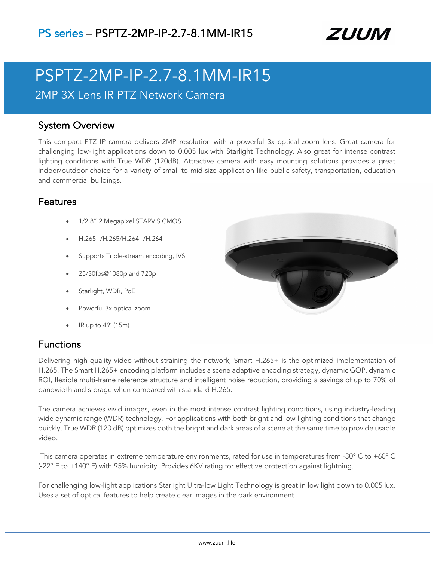

# PSPTZ-2MP-IP-2.7-8.1MM-IR15 2MP 3X Lens IR PTZ Network Camera

### System Overview

This compact PTZ IP camera delivers 2MP resolution with a powerful 3x optical zoom lens. Great camera for challenging low-light applications down to 0.005 lux with Starlight Technology. Also great for intense contrast lighting conditions with True WDR (120dB). Attractive camera with easy mounting solutions provides a great indoor/outdoor choice for a variety of small to mid-size application like public safety, transportation, education and commercial buildings.

## Features

- 1/2.8" 2 Megapixel STARVIS CMOS
- H.265+/H.265/H.264+/H.264
- Supports Triple-stream encoding, IVS
- 25/30fps@1080p and 720p
- Starlight, WDR, PoE
- Powerful 3x optical zoom
- IR up to 49' (15m)

## Functions

Delivering high quality video without straining the network, Smart H.265+ is the optimized implementation of H.265. The Smart H.265+ encoding platform includes a scene adaptive encoding strategy, dynamic GOP, dynamic ROI, flexible multi-frame reference structure and intelligent noise reduction, providing a savings of up to 70% of bandwidth and storage when compared with standard H.265.

The camera achieves vivid images, even in the most intense contrast lighting conditions, using industry-leading wide dynamic range (WDR) technology. For applications with both bright and low lighting conditions that change quickly, True WDR (120 dB) optimizes both the bright and dark areas of a scene at the same time to provide usable video.

This camera operates in extreme temperature environments, rated for use in temperatures from -30° C to +60° C (-22° F to +140° F) with 95% humidity. Provides 6KV rating for effective protection against lightning.

For challenging low-light applications Starlight Ultra-low Light Technology is great in low light down to 0.005 lux. Uses a set of optical features to help create clear images in the dark environment.